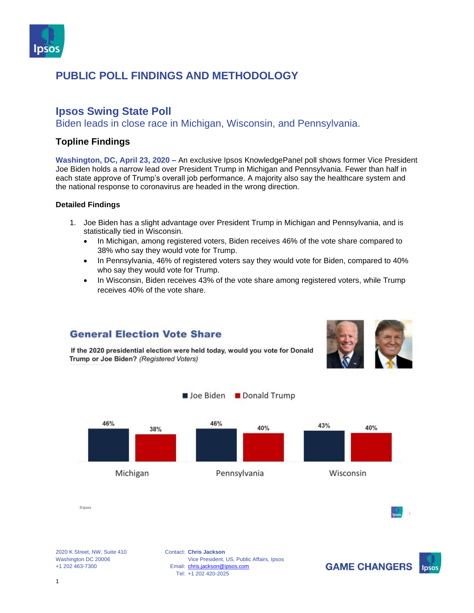

#### **Ipsos Swing State Poll**

Biden leads in close race in Michigan, Wisconsin, and Pennsylvania.

#### **Topline Findings**

**Washington, DC, April 23, 2020 –** An exclusive Ipsos KnowledgePanel poll shows former Vice President Joe Biden holds a narrow lead over President Trump in Michigan and Pennsylvania. Fewer than half in each state approve of Trump's overall job performance. A majority also say the healthcare system and the national response to coronavirus are headed in the wrong direction.

#### **Detailed Findings**

- 1. Joe Biden has a slight advantage over President Trump in Michigan and Pennsylvania, and is statistically tied in Wisconsin.
	- In Michigan, among registered voters, Biden receives 46% of the vote share compared to 38% who say they would vote for Trump.
	- In Pennsylvania, 46% of registered voters say they would vote for Biden, compared to 40% who say they would vote for Trump.
	- In Wisconsin, Biden receives 43% of the vote share among registered voters, while Trump receives 40% of the vote share.

#### **General Election Vote Share**



If the 2020 presidential election were held today, would you vote for Donald Trump or Joe Biden? (Registered Voters)



2020 K Street, NW, Suite 410 Washington DC 20006 +1 202 463-7300

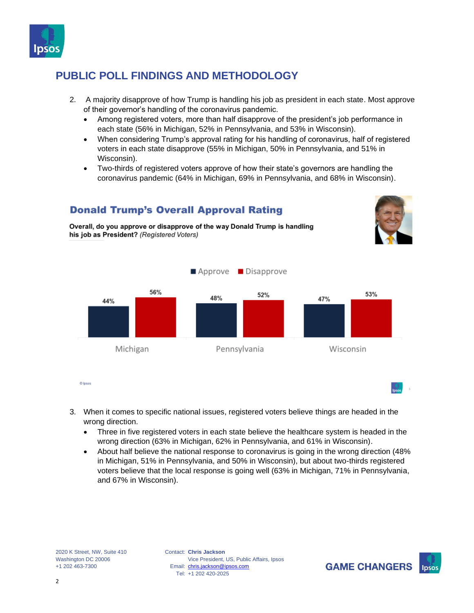

**Donald Trump's Overall Approval Rating** 

Overall, do you approve or disapprove of the way Donald Trump is handling

- 2. A majority disapprove of how Trump is handling his job as president in each state. Most approve of their governor's handling of the coronavirus pandemic.
	- Among registered voters, more than half disapprove of the president's job performance in each state (56% in Michigan, 52% in Pennsylvania, and 53% in Wisconsin).
	- When considering Trump's approval rating for his handling of coronavirus, half of registered voters in each state disapprove (55% in Michigan, 50% in Pennsylvania, and 51% in Wisconsin).
	- Two-thirds of registered voters approve of how their state's governors are handling the coronavirus pandemic (64% in Michigan, 69% in Pennsylvania, and 68% in Wisconsin).



- 3. When it comes to specific national issues, registered voters believe things are headed in the wrong direction.
	- Three in five registered voters in each state believe the healthcare system is headed in the wrong direction (63% in Michigan, 62% in Pennsylvania, and 61% in Wisconsin).
	- About half believe the national response to coronavirus is going in the wrong direction (48% in Michigan, 51% in Pennsylvania, and 50% in Wisconsin), but about two-thirds registered voters believe that the local response is going well (63% in Michigan, 71% in Pennsylvania, and 67% in Wisconsin).

2020 K Street, NW, Suite 410 Washington DC 20006 +1 202 463-7300

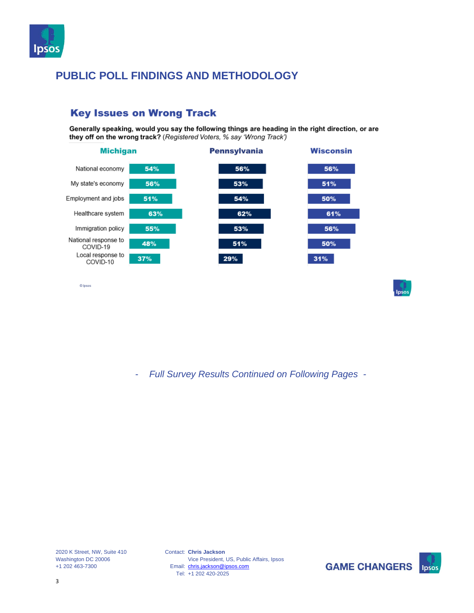

#### they off on the wrong track? (Registered Voters, % say 'Wrong Track') **Michigan Pennsylvania Wisconsin** 54% 56% 56% National economy My state's economy 56% 53% 51% Employment and jobs 51% 54% 50% Healthcare system 62% 63% 61% 53% Immigration policy 55% 56% National response to 48% 51% 50% COVID-19 Local response to 29%  $31%$ 37% COVID-10

Generally speaking, would you say the following things are heading in the right direction, or are

#### **Key Issues on Wrong Track**

- *Full Survey Results Continued on Following Pages -*

2020 K Street, NW, Suite 410 Washington DC 20006 +1 202 463-7300

© Ipsus

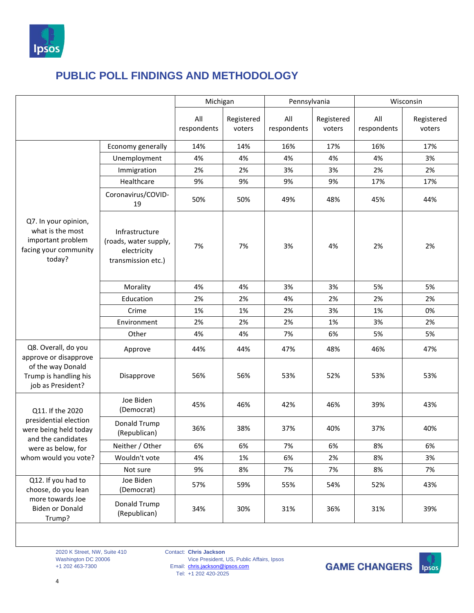

|                                                                                                   |                                                                              | Michigan           |                      | Pennsylvania       |                      | Wisconsin          |                      |
|---------------------------------------------------------------------------------------------------|------------------------------------------------------------------------------|--------------------|----------------------|--------------------|----------------------|--------------------|----------------------|
|                                                                                                   |                                                                              | All<br>respondents | Registered<br>voters | All<br>respondents | Registered<br>voters | All<br>respondents | Registered<br>voters |
|                                                                                                   | Economy generally                                                            | 14%                | 14%                  | 16%                | 17%                  | 16%                | 17%                  |
|                                                                                                   | Unemployment                                                                 | 4%                 | 4%                   | 4%                 | 4%                   | 4%                 | 3%                   |
|                                                                                                   | Immigration                                                                  | 2%                 | 2%                   | 3%                 | 3%                   | 2%                 | 2%                   |
|                                                                                                   | Healthcare                                                                   | 9%                 | 9%                   | 9%                 | 9%                   | 17%                | 17%                  |
|                                                                                                   | Coronavirus/COVID-<br>19                                                     | 50%                | 50%                  | 49%                | 48%                  | 45%                | 44%                  |
| Q7. In your opinion,<br>what is the most<br>important problem<br>facing your community<br>today?  | Infrastructure<br>(roads, water supply,<br>electricity<br>transmission etc.) | 7%                 | 7%                   | 3%                 | 4%                   | 2%                 | 2%                   |
|                                                                                                   | Morality                                                                     | 4%                 | 4%                   | 3%                 | 3%                   | 5%                 | 5%                   |
|                                                                                                   | Education                                                                    | 2%                 | 2%                   | 4%                 | 2%                   | 2%                 | 2%                   |
|                                                                                                   | Crime                                                                        | 1%                 | 1%                   | 2%                 | 3%                   | 1%                 | 0%                   |
|                                                                                                   | Environment                                                                  | 2%                 | 2%                   | 2%                 | 1%                   | 3%                 | 2%                   |
|                                                                                                   | Other                                                                        | 4%                 | 4%                   | 7%                 | 6%                   | 5%                 | 5%                   |
| Q8. Overall, do you<br>approve or disapprove                                                      | Approve                                                                      | 44%                | 44%                  | 47%                | 48%                  | 46%                | 47%                  |
| of the way Donald<br>Trump is handling his<br>job as President?                                   | Disapprove                                                                   | 56%                | 56%                  | 53%                | 52%                  | 53%                | 53%                  |
| Q11. If the 2020                                                                                  | Joe Biden<br>(Democrat)                                                      | 45%                | 46%                  | 42%                | 46%                  | 39%                | 43%                  |
| presidential election<br>were being held today<br>and the candidates                              | Donald Trump<br>(Republican)                                                 | 36%                | 38%                  | 37%                | 40%                  | 37%                | 40%                  |
| were as below, for                                                                                | Neither / Other                                                              | 6%                 | 6%                   | 7%                 | 6%                   | 8%                 | 6%                   |
| whom would you vote?                                                                              | Wouldn't vote                                                                | 4%                 | 1%                   | 6%                 | 2%                   | 8%                 | 3%                   |
|                                                                                                   | Not sure                                                                     | 9%                 | 8%                   | 7%                 | 7%                   | 8%                 | 7%                   |
| Q12. If you had to<br>choose, do you lean<br>more towards Joe<br><b>Biden or Donald</b><br>Trump? | Joe Biden<br>(Democrat)                                                      | 57%                | 59%                  | 55%                | 54%                  | 52%                | 43%                  |
|                                                                                                   | Donald Trump<br>(Republican)                                                 | 34%                | 30%                  | 31%                | 36%                  | 31%                | 39%                  |

2020 K Street, NW, Suite 410 Washington DC 20006 +1 202 463-7300

Contact: **Chris Jackson** Email: Tel: Vice President, US, Public Affairs, Ipsos [chris.jackson@ipsos.com](mailto:chris.jackson@ipsos.com) +1 202 420-2025



4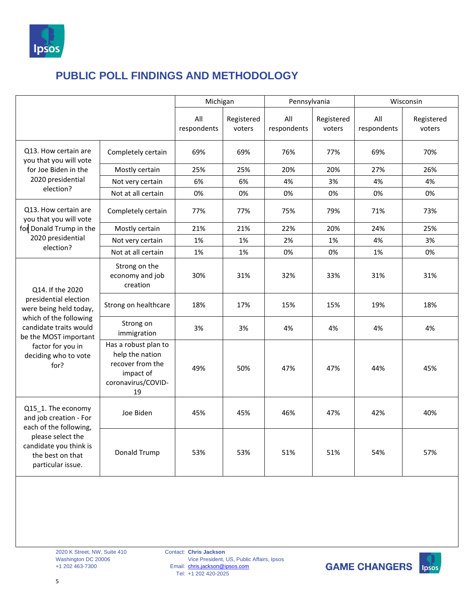

|                                                                                                                                                                |                                                                                                      | Michigan           |                      | Pennsylvania       |                      | Wisconsin          |                      |
|----------------------------------------------------------------------------------------------------------------------------------------------------------------|------------------------------------------------------------------------------------------------------|--------------------|----------------------|--------------------|----------------------|--------------------|----------------------|
|                                                                                                                                                                |                                                                                                      | All<br>respondents | Registered<br>voters | All<br>respondents | Registered<br>voters | All<br>respondents | Registered<br>voters |
| Q13. How certain are<br>you that you will vote                                                                                                                 | Completely certain                                                                                   | 69%                | 69%                  | 76%                | 77%                  | 69%                | 70%                  |
| for Joe Biden in the                                                                                                                                           | Mostly certain                                                                                       | 25%                | 25%                  | 20%                | 20%                  | 27%                | 26%                  |
| 2020 presidential                                                                                                                                              | Not very certain                                                                                     | 6%                 | 6%                   | 4%                 | 3%                   | 4%                 | 4%                   |
| election?                                                                                                                                                      | Not at all certain                                                                                   | 0%                 | 0%                   | 0%                 | 0%                   | 0%                 | 0%                   |
| Q13. How certain are<br>you that you will vote                                                                                                                 | Completely certain                                                                                   | 77%                | 77%                  | 75%                | 79%                  | 71%                | 73%                  |
| for Donald Trump in the                                                                                                                                        | Mostly certain                                                                                       | 21%                | 21%                  | 22%                | 20%                  | 24%                | 25%                  |
| 2020 presidential                                                                                                                                              | Not very certain                                                                                     | 1%                 | 1%                   | 2%                 | 1%                   | 4%                 | 3%                   |
| election?                                                                                                                                                      | Not at all certain                                                                                   | 1%                 | 1%                   | 0%                 | 0%                   | 1%                 | 0%                   |
| Q14. If the 2020                                                                                                                                               | Strong on the<br>economy and job<br>creation                                                         | 30%                | 31%                  | 32%                | 33%                  | 31%                | 31%                  |
| presidential election<br>were being held today,                                                                                                                | Strong on healthcare                                                                                 | 18%                | 17%                  | 15%                | 15%                  | 19%                | 18%                  |
| which of the following<br>candidate traits would<br>be the MOST important                                                                                      | Strong on<br>immigration                                                                             | 3%                 | 3%                   | 4%                 | 4%                   | 4%                 | 4%                   |
| factor for you in<br>deciding who to vote<br>for?                                                                                                              | Has a robust plan to<br>help the nation<br>recover from the<br>impact of<br>coronavirus/COVID-<br>19 | 49%                | 50%                  | 47%                | 47%                  | 44%                | 45%                  |
| Q15_1. The economy<br>and job creation - For<br>each of the following,<br>please select the<br>candidate you think is<br>the best on that<br>particular issue. | Joe Biden                                                                                            | 45%                | 45%                  | 46%                | 47%                  | 42%                | 40%                  |
|                                                                                                                                                                | Donald Trump                                                                                         | 53%                | 53%                  | 51%                | 51%                  | 54%                | 57%                  |

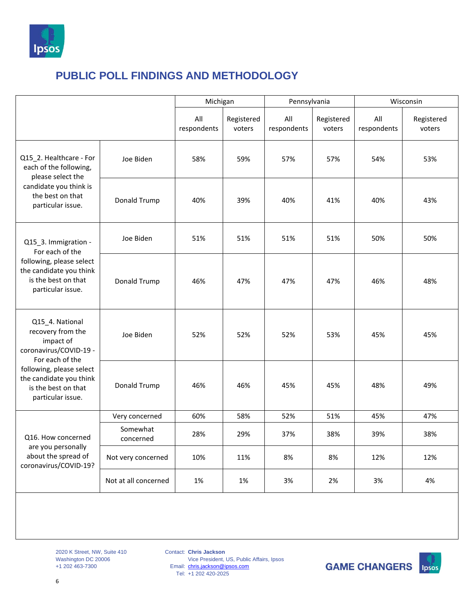

|                                                                                                                                            |                       | Michigan           |                      | Pennsylvania       |                      | Wisconsin          |                      |
|--------------------------------------------------------------------------------------------------------------------------------------------|-----------------------|--------------------|----------------------|--------------------|----------------------|--------------------|----------------------|
|                                                                                                                                            |                       | All<br>respondents | Registered<br>voters | All<br>respondents | Registered<br>voters | All<br>respondents | Registered<br>voters |
| Q15_2. Healthcare - For<br>each of the following,<br>please select the                                                                     | Joe Biden             | 58%                | 59%                  | 57%                | 57%                  | 54%                | 53%                  |
| candidate you think is<br>the best on that<br>particular issue.                                                                            | Donald Trump          | 40%                | 39%                  | 40%                | 41%                  | 40%                | 43%                  |
| Q15_3. Immigration -<br>For each of the<br>following, please select<br>the candidate you think<br>is the best on that<br>particular issue. | Joe Biden             | 51%                | 51%                  | 51%                | 51%                  | 50%                | 50%                  |
|                                                                                                                                            | Donald Trump          | 46%                | 47%                  | 47%                | 47%                  | 46%                | 48%                  |
| Q15_4. National<br>recovery from the<br>impact of<br>coronavirus/COVID-19 -                                                                | Joe Biden             | 52%                | 52%                  | 52%                | 53%                  | 45%                | 45%                  |
| For each of the<br>following, please select<br>the candidate you think<br>is the best on that<br>particular issue.                         | Donald Trump          | 46%                | 46%                  | 45%                | 45%                  | 48%                | 49%                  |
|                                                                                                                                            | Very concerned        | 60%                | 58%                  | 52%                | 51%                  | 45%                | 47%                  |
| Q16. How concerned                                                                                                                         | Somewhat<br>concerned | 28%                | 29%                  | 37%                | 38%                  | 39%                | 38%                  |
| are you personally<br>about the spread of<br>coronavirus/COVID-19?                                                                         | Not very concerned    | 10%                | 11%                  | 8%                 | 8%                   | 12%                | 12%                  |
|                                                                                                                                            | Not at all concerned  | 1%                 | 1%                   | 3%                 | 2%                   | 3%                 | 4%                   |

2020 K Street, NW, Suite 410 Washington DC 20006 +1 202 463-7300

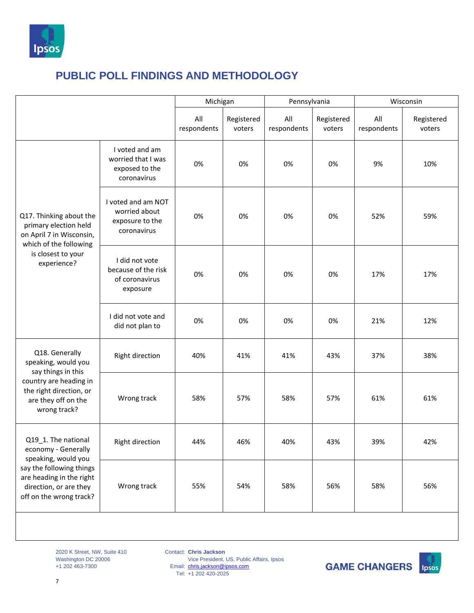

|                                                                                                                                             |                                                                       | Michigan           |                      | Pennsylvania       |                      | Wisconsin          |                      |
|---------------------------------------------------------------------------------------------------------------------------------------------|-----------------------------------------------------------------------|--------------------|----------------------|--------------------|----------------------|--------------------|----------------------|
|                                                                                                                                             |                                                                       | All<br>respondents | Registered<br>voters | All<br>respondents | Registered<br>voters | All<br>respondents | Registered<br>voters |
| Q17. Thinking about the<br>primary election held<br>on April 7 in Wisconsin,<br>which of the following<br>is closest to your<br>experience? | I voted and am<br>worried that I was<br>exposed to the<br>coronavirus | 0%                 | 0%                   | 0%                 | 0%                   | 9%                 | 10%                  |
|                                                                                                                                             | I voted and am NOT<br>worried about<br>exposure to the<br>coronavirus | 0%                 | 0%                   | 0%                 | 0%                   | 52%                | 59%                  |
|                                                                                                                                             | I did not vote<br>because of the risk<br>of coronavirus<br>exposure   | 0%                 | 0%                   | 0%                 | 0%                   | 17%                | 17%                  |
|                                                                                                                                             | I did not vote and<br>did not plan to                                 | 0%                 | 0%                   | 0%                 | 0%                   | 21%                | 12%                  |
| Q18. Generally<br>speaking, would you<br>say things in this                                                                                 | Right direction                                                       | 40%                | 41%                  | 41%                | 43%                  | 37%                | 38%                  |
| country are heading in<br>the right direction, or<br>are they off on the<br>wrong track?                                                    | Wrong track                                                           | 58%                | 57%                  | 58%                | 57%                  | 61%                | 61%                  |
| Q19_1. The national<br>economy - Generally                                                                                                  | Right direction                                                       | 44%                | 46%                  | 40%                | 43%                  | 39%                | 42%                  |
| speaking, would you<br>say the following things<br>are heading in the right<br>direction, or are they<br>off on the wrong track?            | Wrong track                                                           | 55%                | 54%                  | 58%                | 56%                  | 58%                | 56%                  |

2020 K Street, NW, Suite 410 Washington DC 20006 +1 202 463-7300

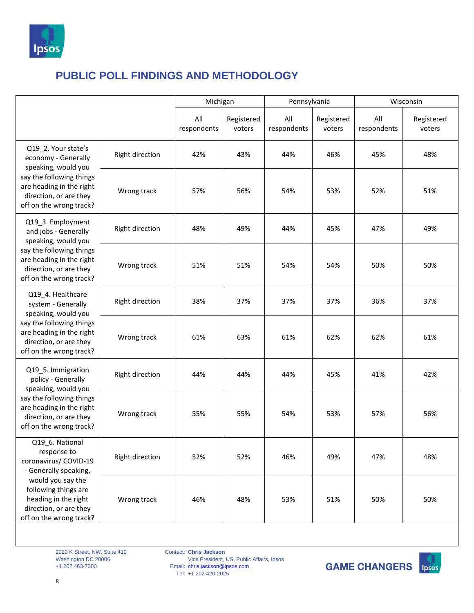

|                                                                                                                                                                               |                 | Michigan           |                      |                    | Pennsylvania         |                    | Wisconsin            |  |
|-------------------------------------------------------------------------------------------------------------------------------------------------------------------------------|-----------------|--------------------|----------------------|--------------------|----------------------|--------------------|----------------------|--|
|                                                                                                                                                                               |                 | All<br>respondents | Registered<br>voters | All<br>respondents | Registered<br>voters | All<br>respondents | Registered<br>voters |  |
| Q19 2. Your state's<br>economy - Generally<br>speaking, would you                                                                                                             | Right direction | 42%                | 43%                  | 44%                | 46%                  | 45%                | 48%                  |  |
| say the following things<br>are heading in the right<br>direction, or are they<br>off on the wrong track?                                                                     | Wrong track     | 57%                | 56%                  | 54%                | 53%                  | 52%                | 51%                  |  |
| Q19_3. Employment<br>and jobs - Generally<br>speaking, would you<br>say the following things<br>are heading in the right<br>direction, or are they<br>off on the wrong track? | Right direction | 48%                | 49%                  | 44%                | 45%                  | 47%                | 49%                  |  |
|                                                                                                                                                                               | Wrong track     | 51%                | 51%                  | 54%                | 54%                  | 50%                | 50%                  |  |
| Q19_4. Healthcare<br>system - Generally<br>speaking, would you                                                                                                                | Right direction | 38%                | 37%                  | 37%                | 37%                  | 36%                | 37%                  |  |
| say the following things<br>are heading in the right<br>direction, or are they<br>off on the wrong track?                                                                     | Wrong track     | 61%                | 63%                  | 61%                | 62%                  | 62%                | 61%                  |  |
| Q19_5. Immigration<br>policy - Generally<br>speaking, would you                                                                                                               | Right direction | 44%                | 44%                  | 44%                | 45%                  | 41%                | 42%                  |  |
| say the following things<br>are heading in the right<br>direction, or are they<br>off on the wrong track?                                                                     | Wrong track     | 55%                | 55%                  | 54%                | 53%                  | 57%                | 56%                  |  |
| Q19_6. National<br>response to<br>coronavirus/ COVID-19<br>- Generally speaking,                                                                                              | Right direction | 52%                | 52%                  | 46%                | 49%                  | 47%                | 48%                  |  |
| would you say the<br>following things are<br>heading in the right<br>direction, or are they<br>off on the wrong track?                                                        | Wrong track     | 46%                | 48%                  | 53%                | 51%                  | 50%                | 50%                  |  |

2020 K Street, NW, Suite 410 Washington DC 20006 +1 202 463-7300

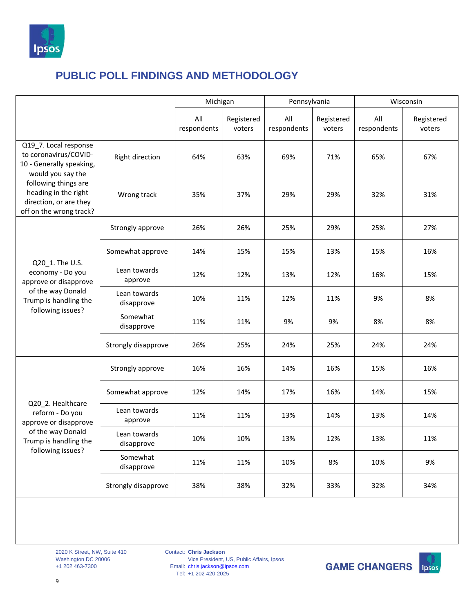

|                                                                                                                        |                            | Michigan           |                      | Pennsylvania       |                      | Wisconsin          |                      |
|------------------------------------------------------------------------------------------------------------------------|----------------------------|--------------------|----------------------|--------------------|----------------------|--------------------|----------------------|
|                                                                                                                        |                            | All<br>respondents | Registered<br>voters | All<br>respondents | Registered<br>voters | All<br>respondents | Registered<br>voters |
| Q19 7. Local response<br>to coronavirus/COVID-<br>10 - Generally speaking,                                             | Right direction            | 64%                | 63%                  | 69%                | 71%                  | 65%                | 67%                  |
| would you say the<br>following things are<br>heading in the right<br>direction, or are they<br>off on the wrong track? | Wrong track                | 35%                | 37%                  | 29%                | 29%                  | 32%                | 31%                  |
|                                                                                                                        | Strongly approve           | 26%                | 26%                  | 25%                | 29%                  | 25%                | 27%                  |
| Q20_1. The U.S.<br>economy - Do you<br>approve or disapprove                                                           | Somewhat approve           | 14%                | 15%                  | 15%                | 13%                  | 15%                | 16%                  |
|                                                                                                                        | Lean towards<br>approve    | 12%                | 12%                  | 13%                | 12%                  | 16%                | 15%                  |
| of the way Donald<br>Trump is handling the                                                                             | Lean towards<br>disapprove | 10%                | 11%                  | 12%                | 11%                  | 9%                 | 8%                   |
| following issues?                                                                                                      | Somewhat<br>disapprove     | 11%                | 11%                  | 9%                 | 9%                   | 8%                 | 8%                   |
|                                                                                                                        | Strongly disapprove        | 26%                | 25%                  | 24%                | 25%                  | 24%                | 24%                  |
|                                                                                                                        | Strongly approve           | 16%                | 16%                  | 14%                | 16%                  | 15%                | 16%                  |
|                                                                                                                        | Somewhat approve           | 12%                | 14%                  | 17%                | 16%                  | 14%                | 15%                  |
| Q20 2. Healthcare<br>reform - Do you<br>approve or disapprove                                                          | Lean towards<br>approve    | 11%                | 11%                  | 13%                | 14%                  | 13%                | 14%                  |
| of the way Donald<br>Trump is handling the<br>following issues?                                                        | Lean towards<br>disapprove | 10%                | 10%                  | 13%                | 12%                  | 13%                | 11%                  |
|                                                                                                                        | Somewhat<br>disapprove     | 11%                | 11%                  | 10%                | 8%                   | 10%                | 9%                   |
|                                                                                                                        | Strongly disapprove        | 38%                | 38%                  | 32%                | 33%                  | 32%                | 34%                  |

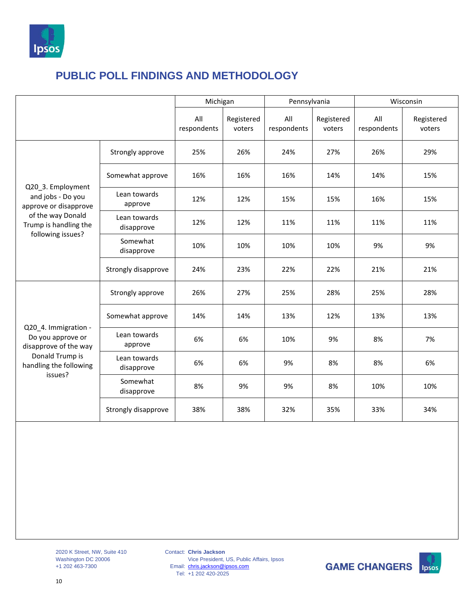

|                                                                                                                                    |                            | Michigan           |                      | Pennsylvania       |                      | Wisconsin          |                      |
|------------------------------------------------------------------------------------------------------------------------------------|----------------------------|--------------------|----------------------|--------------------|----------------------|--------------------|----------------------|
|                                                                                                                                    |                            | All<br>respondents | Registered<br>voters | All<br>respondents | Registered<br>voters | All<br>respondents | Registered<br>voters |
|                                                                                                                                    | Strongly approve           | 25%                | 26%                  | 24%                | 27%                  | 26%                | 29%                  |
| Q20_3. Employment<br>and jobs - Do you<br>approve or disapprove<br>of the way Donald<br>Trump is handling the<br>following issues? | Somewhat approve           | 16%                | 16%                  | 16%                | 14%                  | 14%                | 15%                  |
|                                                                                                                                    | Lean towards<br>approve    | 12%                | 12%                  | 15%                | 15%                  | 16%                | 15%                  |
|                                                                                                                                    | Lean towards<br>disapprove | 12%                | 12%                  | 11%                | 11%                  | 11%                | 11%                  |
|                                                                                                                                    | Somewhat<br>disapprove     | 10%                | 10%                  | 10%                | 10%                  | 9%                 | 9%                   |
|                                                                                                                                    | Strongly disapprove        | 24%                | 23%                  | 22%                | 22%                  | 21%                | 21%                  |
|                                                                                                                                    | Strongly approve           | 26%                | 27%                  | 25%                | 28%                  | 25%                | 28%                  |
|                                                                                                                                    | Somewhat approve           | 14%                | 14%                  | 13%                | 12%                  | 13%                | 13%                  |
| Q20_4. Immigration -<br>Do you approve or<br>disapprove of the way                                                                 | Lean towards<br>approve    | 6%                 | 6%                   | 10%                | 9%                   | 8%                 | 7%                   |
| Donald Trump is<br>handling the following                                                                                          | Lean towards<br>disapprove | 6%                 | 6%                   | 9%                 | 8%                   | 8%                 | 6%                   |
| issues?                                                                                                                            | Somewhat<br>disapprove     | 8%                 | 9%                   | 9%                 | 8%                   | 10%                | 10%                  |
|                                                                                                                                    | Strongly disapprove        | 38%                | 38%                  | 32%                | 35%                  | 33%                | 34%                  |
|                                                                                                                                    |                            |                    |                      |                    |                      |                    |                      |

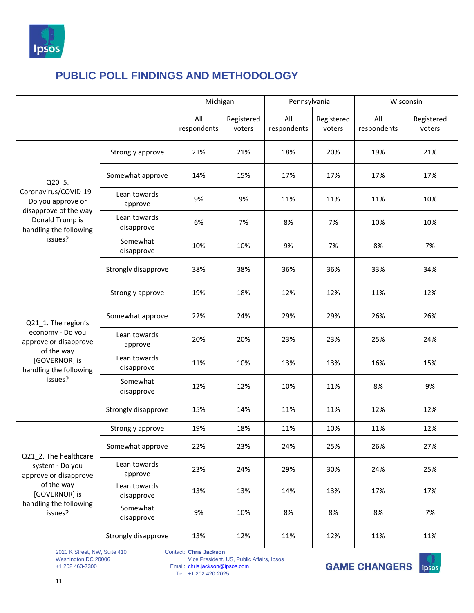

|                                                                      |                            | Michigan           |                      | Pennsylvania       |                      | Wisconsin          |                      |
|----------------------------------------------------------------------|----------------------------|--------------------|----------------------|--------------------|----------------------|--------------------|----------------------|
|                                                                      |                            | All<br>respondents | Registered<br>voters | All<br>respondents | Registered<br>voters | All<br>respondents | Registered<br>voters |
|                                                                      | Strongly approve           | 21%                | 21%                  | 18%                | 20%                  | 19%                | 21%                  |
| Q20 5.                                                               | Somewhat approve           | 14%                | 15%                  | 17%                | 17%                  | 17%                | 17%                  |
| Coronavirus/COVID-19 -<br>Do you approve or<br>disapprove of the way | Lean towards<br>approve    | 9%                 | 9%                   | 11%                | 11%                  | 11%                | 10%                  |
| Donald Trump is<br>handling the following<br>issues?                 | Lean towards<br>disapprove | 6%                 | 7%                   | 8%                 | 7%                   | 10%                | 10%                  |
|                                                                      | Somewhat<br>disapprove     | 10%                | 10%                  | 9%                 | 7%                   | 8%                 | 7%                   |
|                                                                      | Strongly disapprove        | 38%                | 38%                  | 36%                | 36%                  | 33%                | 34%                  |
|                                                                      | Strongly approve           | 19%                | 18%                  | 12%                | 12%                  | 11%                | 12%                  |
| Q21_1. The region's                                                  | Somewhat approve           | 22%                | 24%                  | 29%                | 29%                  | 26%                | 26%                  |
| economy - Do you<br>approve or disapprove                            | Lean towards<br>approve    | 20%                | 20%                  | 23%                | 23%                  | 25%                | 24%                  |
| of the way<br>[GOVERNOR] is<br>handling the following                | Lean towards<br>disapprove | 11%                | 10%                  | 13%                | 13%                  | 16%                | 15%                  |
| issues?                                                              | Somewhat<br>disapprove     | 12%                | 12%                  | 10%                | 11%                  | 8%                 | 9%                   |
|                                                                      | Strongly disapprove        | 15%                | 14%                  | 11%                | 11%                  | 12%                | 12%                  |
|                                                                      | Strongly approve           | 19%                | 18%                  | 11%                | 10%                  | 11%                | 12%                  |
| Q21_2. The healthcare                                                | Somewhat approve           | 22%                | 23%                  | 24%                | 25%                  | 26%                | 27%                  |
| system - Do you<br>approve or disapprove                             | Lean towards<br>approve    | 23%                | 24%                  | 29%                | 30%                  | 24%                | 25%                  |
| of the way<br>[GOVERNOR] is                                          | Lean towards<br>disapprove | 13%                | 13%                  | 14%                | 13%                  | 17%                | 17%                  |
| handling the following<br>issues?                                    | Somewhat<br>disapprove     | 9%                 | 10%                  | 8%                 | 8%                   | 8%                 | 7%                   |
|                                                                      | Strongly disapprove        | 13%                | 12%                  | 11%                | 12%                  | 11%                | 11%                  |

2020 K Street, NW, Suite 410 Washington DC 20006 +1 202 463-7300

Contact: **Chris Jackson**

Vice President, US, Public Affairs, Ipsos

Email: Tel: [chris.jackson@ipsos.com](mailto:chris.jackson@ipsos.com) +1 202 420-2025

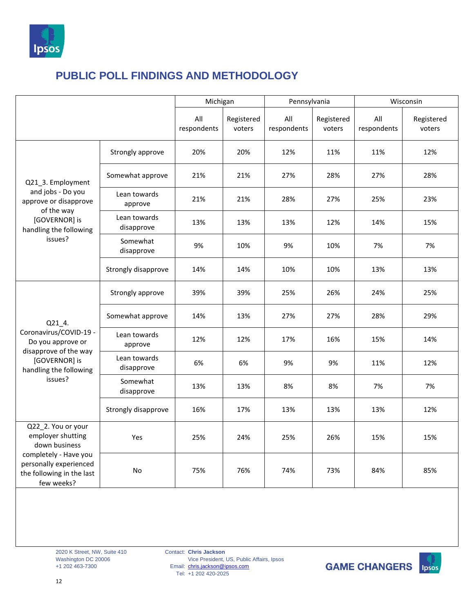

|                                                                                                                                                        |                            | Michigan           |                      | Pennsylvania       |                      | Wisconsin          |                      |
|--------------------------------------------------------------------------------------------------------------------------------------------------------|----------------------------|--------------------|----------------------|--------------------|----------------------|--------------------|----------------------|
|                                                                                                                                                        |                            | All<br>respondents | Registered<br>voters | All<br>respondents | Registered<br>voters | All<br>respondents | Registered<br>voters |
|                                                                                                                                                        | Strongly approve           | 20%                | 20%                  | 12%                | 11%                  | 11%                | 12%                  |
| Q21 3. Employment                                                                                                                                      | Somewhat approve           | 21%                | 21%                  | 27%                | 28%                  | 27%                | 28%                  |
| and jobs - Do you<br>approve or disapprove<br>of the way<br>[GOVERNOR] is<br>handling the following<br>issues?                                         | Lean towards<br>approve    | 21%                | 21%                  | 28%                | 27%                  | 25%                | 23%                  |
|                                                                                                                                                        | Lean towards<br>disapprove | 13%                | 13%                  | 13%                | 12%                  | 14%                | 15%                  |
|                                                                                                                                                        | Somewhat<br>disapprove     | 9%                 | 10%                  | 9%                 | 10%                  | 7%                 | 7%                   |
|                                                                                                                                                        | Strongly disapprove        | 14%                | 14%                  | 10%                | 10%                  | 13%                | 13%                  |
|                                                                                                                                                        | Strongly approve           | 39%                | 39%                  | 25%                | 26%                  | 24%                | 25%                  |
| Q21 4.                                                                                                                                                 | Somewhat approve           | 14%                | 13%                  | 27%                | 27%                  | 28%                | 29%                  |
| Coronavirus/COVID-19 -<br>Do you approve or<br>disapprove of the way                                                                                   | Lean towards<br>approve    | 12%                | 12%                  | 17%                | 16%                  | 15%                | 14%                  |
| [GOVERNOR] is<br>handling the following                                                                                                                | Lean towards<br>disapprove | 6%                 | 6%                   | 9%                 | 9%                   | 11%                | 12%                  |
| issues?                                                                                                                                                | Somewhat<br>disapprove     | 13%                | 13%                  | 8%                 | 8%                   | 7%                 | 7%                   |
|                                                                                                                                                        | Strongly disapprove        | 16%                | 17%                  | 13%                | 13%                  | 13%                | 12%                  |
| Q22_2. You or your<br>employer shutting<br>down business<br>completely - Have you<br>personally experienced<br>the following in the last<br>few weeks? | Yes                        | 25%                | 24%                  | 25%                | 26%                  | 15%                | 15%                  |
|                                                                                                                                                        | <b>No</b>                  | 75%                | 76%                  | 74%                | 73%                  | 84%                | 85%                  |

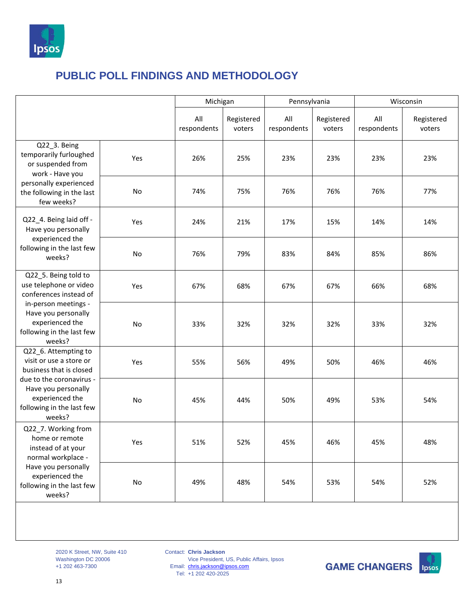

|                                                                                                                                                                                   |     | Michigan           |                      |                    | Pennsylvania         |                    | Wisconsin            |
|-----------------------------------------------------------------------------------------------------------------------------------------------------------------------------------|-----|--------------------|----------------------|--------------------|----------------------|--------------------|----------------------|
|                                                                                                                                                                                   |     | All<br>respondents | Registered<br>voters | All<br>respondents | Registered<br>voters | All<br>respondents | Registered<br>voters |
| Q22 3. Being<br>temporarily furloughed<br>or suspended from<br>work - Have you                                                                                                    | Yes | 26%                | 25%                  | 23%                | 23%                  | 23%                | 23%                  |
| personally experienced<br>the following in the last<br>few weeks?                                                                                                                 | No  | 74%                | 75%                  | 76%                | 76%                  | 76%                | 77%                  |
| Q22_4. Being laid off -<br>Have you personally<br>experienced the<br>following in the last few<br>weeks?                                                                          | Yes | 24%                | 21%                  | 17%                | 15%                  | 14%                | 14%                  |
|                                                                                                                                                                                   | No  | 76%                | 79%                  | 83%                | 84%                  | 85%                | 86%                  |
| Q22 5. Being told to<br>use telephone or video<br>conferences instead of<br>in-person meetings -<br>Have you personally<br>experienced the<br>following in the last few<br>weeks? | Yes | 67%                | 68%                  | 67%                | 67%                  | 66%                | 68%                  |
|                                                                                                                                                                                   | No  | 33%                | 32%                  | 32%                | 32%                  | 33%                | 32%                  |
| Q22_6. Attempting to<br>visit or use a store or<br>business that is closed                                                                                                        | Yes | 55%                | 56%                  | 49%                | 50%                  | 46%                | 46%                  |
| due to the coronavirus -<br>Have you personally<br>experienced the<br>following in the last few<br>weeks?                                                                         | No  | 45%                | 44%                  | 50%                | 49%                  | 53%                | 54%                  |
| Q22_7. Working from<br>home or remote<br>instead of at your<br>normal workplace -                                                                                                 | Yes | 51%                | 52%                  | 45%                | 46%                  | 45%                | 48%                  |
| Have you personally<br>experienced the<br>following in the last few<br>weeks?                                                                                                     | No  | 49%                | 48%                  | 54%                | 53%                  | 54%                | 52%                  |

2020 K Street, NW, Suite 410 Washington DC 20006 +1 202 463-7300

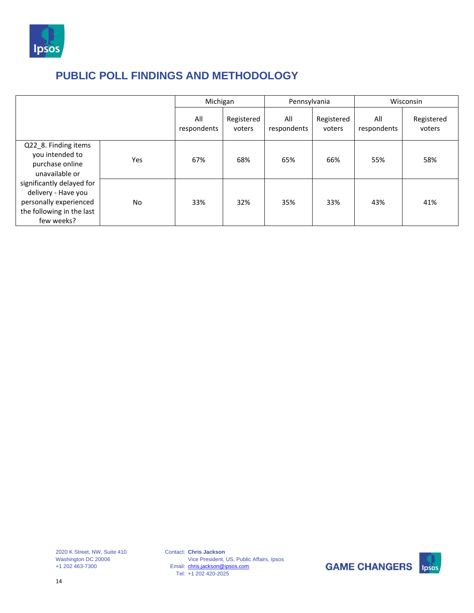

|                                                                                                                       |           |                    | Michigan             |                    | Pennsylvania         |                    | Wisconsin            |  |
|-----------------------------------------------------------------------------------------------------------------------|-----------|--------------------|----------------------|--------------------|----------------------|--------------------|----------------------|--|
|                                                                                                                       |           | All<br>respondents | Registered<br>voters | All<br>respondents | Registered<br>voters | All<br>respondents | Registered<br>voters |  |
| Q22_8. Finding items<br>you intended to<br>purchase online<br>unavailable or                                          | Yes       | 67%                | 68%                  | 65%                | 66%                  | 55%                | 58%                  |  |
| significantly delayed for<br>delivery - Have you<br>personally experienced<br>the following in the last<br>few weeks? | <b>No</b> | 33%                | 32%                  | 35%                | 33%                  | 43%                | 41%                  |  |

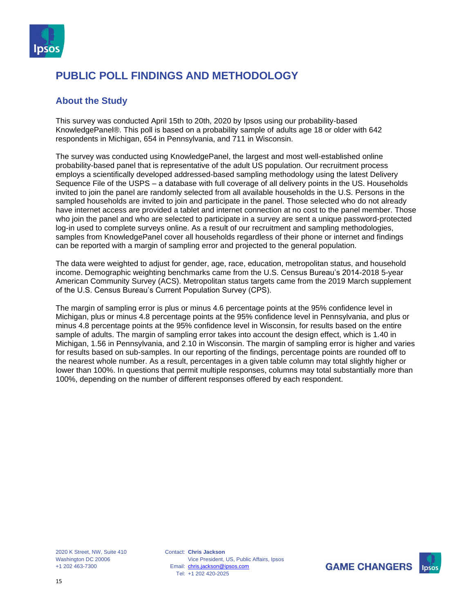

#### **About the Study**

This survey was conducted April 15th to 20th, 2020 by Ipsos using our probability-based KnowledgePanel®. This poll is based on a probability sample of adults age 18 or older with 642 respondents in Michigan, 654 in Pennsylvania, and 711 in Wisconsin.

The survey was conducted using KnowledgePanel, the largest and most well-established online probability-based panel that is representative of the adult US population. Our recruitment process employs a scientifically developed addressed-based sampling methodology using the latest Delivery Sequence File of the USPS – a database with full coverage of all delivery points in the US. Households invited to join the panel are randomly selected from all available households in the U.S. Persons in the sampled households are invited to join and participate in the panel. Those selected who do not already have internet access are provided a tablet and internet connection at no cost to the panel member. Those who join the panel and who are selected to participate in a survey are sent a unique password-protected log-in used to complete surveys online. As a result of our recruitment and sampling methodologies, samples from KnowledgePanel cover all households regardless of their phone or internet and findings can be reported with a margin of sampling error and projected to the general population.

The data were weighted to adjust for gender, age, race, education, metropolitan status, and household income. Demographic weighting benchmarks came from the U.S. Census Bureau's 2014-2018 5-year American Community Survey (ACS). Metropolitan status targets came from the 2019 March supplement of the U.S. Census Bureau's Current Population Survey (CPS).

The margin of sampling error is plus or minus 4.6 percentage points at the 95% confidence level in Michigan, plus or minus 4.8 percentage points at the 95% confidence level in Pennsylvania, and plus or minus 4.8 percentage points at the 95% confidence level in Wisconsin, for results based on the entire sample of adults. The margin of sampling error takes into account the design effect, which is 1.40 in Michigan, 1.56 in Pennsylvania, and 2.10 in Wisconsin. The margin of sampling error is higher and varies for results based on sub-samples. In our reporting of the findings, percentage points are rounded off to the nearest whole number. As a result, percentages in a given table column may total slightly higher or lower than 100%. In questions that permit multiple responses, columns may total substantially more than 100%, depending on the number of different responses offered by each respondent.

2020 K Street, NW, Suite 410 Washington DC 20006 +1 202 463-7300